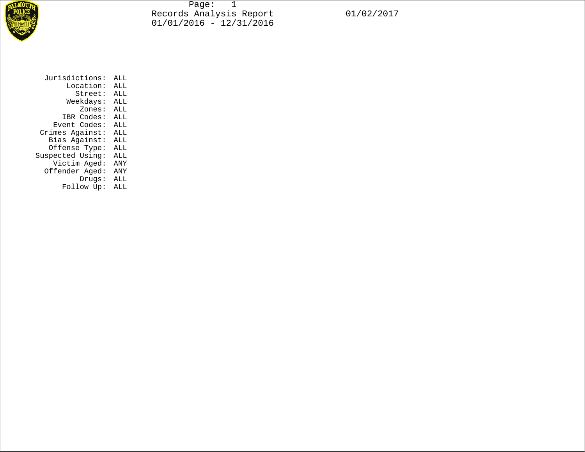

Page: 1 Records Analysis Report 01/02/2017 01/01/2016 - 12/31/2016

| Jurisdictions:   | ALL |
|------------------|-----|
| Location:        | ALL |
| Street:          | ALL |
| Weekdays:        | ALL |
| Zones:           | ALL |
| IBR Codes:       | ALL |
| Event Codes:     | ALL |
| Crimes Against:  | ALL |
| Bias Against:    | ALL |
| Offense Type:    | ALL |
| Suspected Using: | ALL |
| Victim Aged:     | ANY |
| Offender Aged:   | ANY |
| Drugs:           | ALL |
| Follow Up:       | ALL |